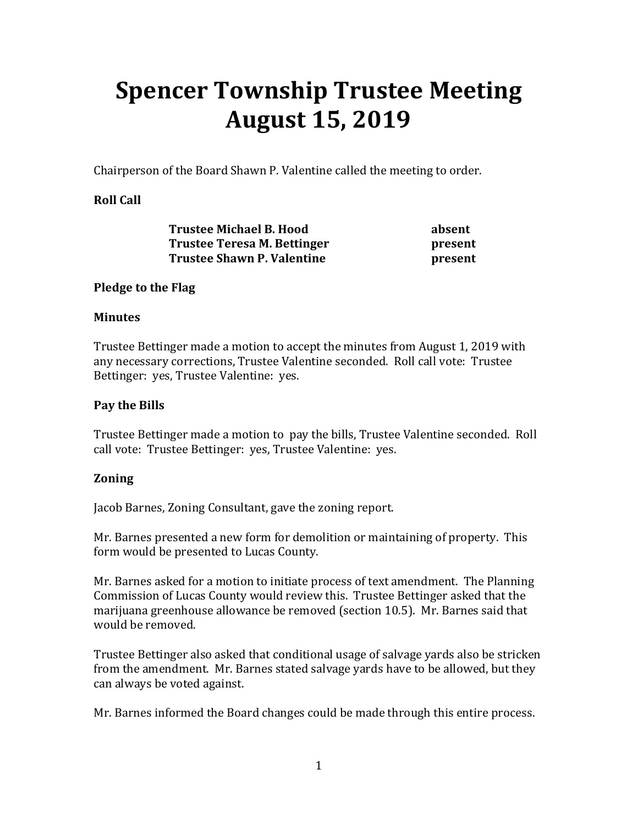# **Spencer Township Trustee Meeting August 15, 2019**

Chairperson of the Board Shawn P. Valentine called the meeting to order.

# **Roll Call**

| <b>Trustee Michael B. Hood</b>                                   | absent  |
|------------------------------------------------------------------|---------|
| Trustee Teresa M. Bettinger<br><b>Trustee Shawn P. Valentine</b> | present |
|                                                                  | present |

#### **Pledge to the Flag**

#### **Minutes**

Trustee Bettinger made a motion to accept the minutes from August 1, 2019 with any necessary corrections, Trustee Valentine seconded. Roll call vote: Trustee Bettinger: yes, Trustee Valentine: yes.

#### **Pay the Bills**

Trustee Bettinger made a motion to pay the bills, Trustee Valentine seconded. Roll call vote: Trustee Bettinger: yes, Trustee Valentine: yes.

#### **Zoning**

Jacob Barnes, Zoning Consultant, gave the zoning report.

Mr. Barnes presented a new form for demolition or maintaining of property. This form would be presented to Lucas County.

Mr. Barnes asked for a motion to initiate process of text amendment. The Planning Commission of Lucas County would review this. Trustee Bettinger asked that the marijuana greenhouse allowance be removed (section 10.5). Mr. Barnes said that would be removed.

Trustee Bettinger also asked that conditional usage of salvage yards also be stricken from the amendment. Mr. Barnes stated salvage yards have to be allowed, but they can always be voted against.

Mr. Barnes informed the Board changes could be made through this entire process.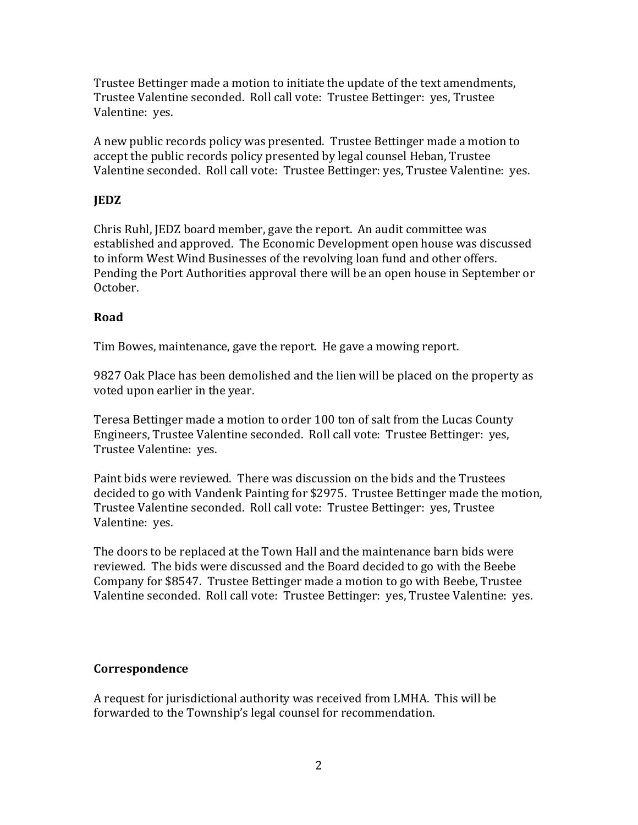Trustee Bettinger made a motion to initiate the update of the text amendments, Trustee Valentine seconded. Roll call vote: Trustee Bettinger: yes, Trustee Valentine: yes.

A new public records policy was presented. Trustee Bettinger made a motion to accept the public records policy presented by legal counsel Heban, Trustee Valentine seconded. Roll call vote: Trustee Bettinger: yes, Trustee Valentine: yes.

# **JEDZ**

Chris Ruhl, JEDZ board member, gave the report. An audit committee was established and approved. The Economic Development open house was discussed to inform West Wind Businesses of the revolving loan fund and other offers. Pending the Port Authorities approval there will be an open house in September or October.

# **Road**

Tim Bowes, maintenance, gave the report. He gave a mowing report.

9827 Oak Place has been demolished and the lien will be placed on the property as voted upon earlier in the year.

Teresa Bettinger made a motion to order 100 ton of salt from the Lucas County Engineers, Trustee Valentine seconded. Roll call vote: Trustee Bettinger: yes, Trustee Valentine: yes.

Paint bids were reviewed. There was discussion on the bids and the Trustees decided to go with Vandenk Painting for \$2975. Trustee Bettinger made the motion, Trustee Valentine seconded. Roll call vote: Trustee Bettinger: yes, Trustee Valentine: yes.

The doors to be replaced at the Town Hall and the maintenance barn bids were reviewed. The bids were discussed and the Board decided to go with the Beebe Company for \$8547. Trustee Bettinger made a motion to go with Beebe, Trustee Valentine seconded. Roll call vote: Trustee Bettinger: yes, Trustee Valentine: yes.

# **Correspondence**

A request for jurisdictional authority was received from LMHA. This will be forwarded to the Township's legal counsel for recommendation.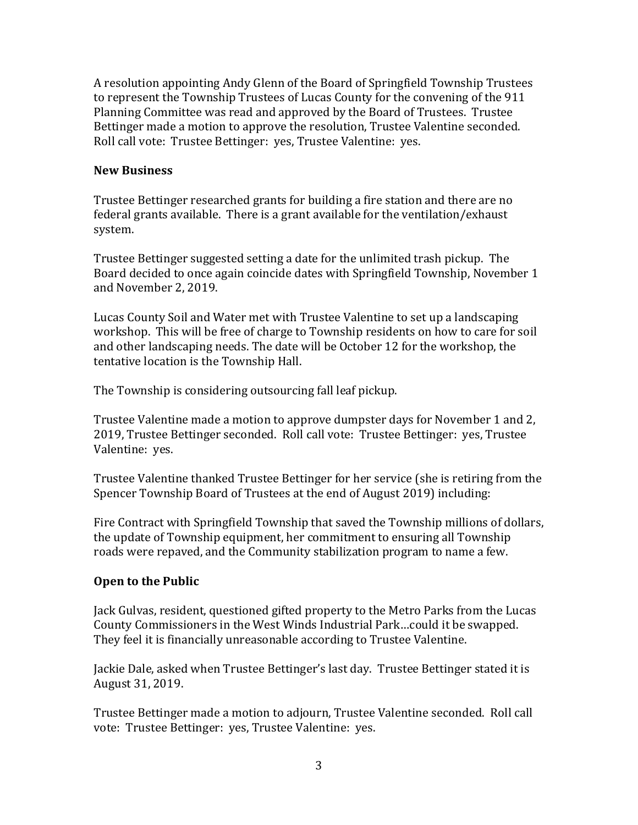A resolution appointing Andy Glenn of the Board of Springfield Township Trustees to represent the Township Trustees of Lucas County for the convening of the 911 Planning Committee was read and approved by the Board of Trustees. Trustee Bettinger made a motion to approve the resolution, Trustee Valentine seconded. Roll call vote: Trustee Bettinger: yes, Trustee Valentine: yes.

#### **New Business**

Trustee Bettinger researched grants for building a fire station and there are no federal grants available. There is a grant available for the ventilation/exhaust system.

Trustee Bettinger suggested setting a date for the unlimited trash pickup. The Board decided to once again coincide dates with Springfield Township, November 1 and November 2, 2019.

Lucas County Soil and Water met with Trustee Valentine to set up a landscaping workshop. This will be free of charge to Township residents on how to care for soil and other landscaping needs. The date will be October 12 for the workshop, the tentative location is the Township Hall.

The Township is considering outsourcing fall leaf pickup.

Trustee Valentine made a motion to approve dumpster days for November 1 and 2, 2019, Trustee Bettinger seconded. Roll call vote: Trustee Bettinger: yes, Trustee Valentine: yes.

Trustee Valentine thanked Trustee Bettinger for her service (she is retiring from the Spencer Township Board of Trustees at the end of August 2019) including:

Fire Contract with Springfield Township that saved the Township millions of dollars, the update of Township equipment, her commitment to ensuring all Township roads were repaved, and the Community stabilization program to name a few.

# **Open to the Public**

Jack Gulvas, resident, questioned gifted property to the Metro Parks from the Lucas County Commissioners in the West Winds Industrial Park…could it be swapped. They feel it is financially unreasonable according to Trustee Valentine.

Jackie Dale, asked when Trustee Bettinger's last day. Trustee Bettinger stated it is August 31, 2019.

Trustee Bettinger made a motion to adjourn, Trustee Valentine seconded. Roll call vote: Trustee Bettinger: yes, Trustee Valentine: yes.